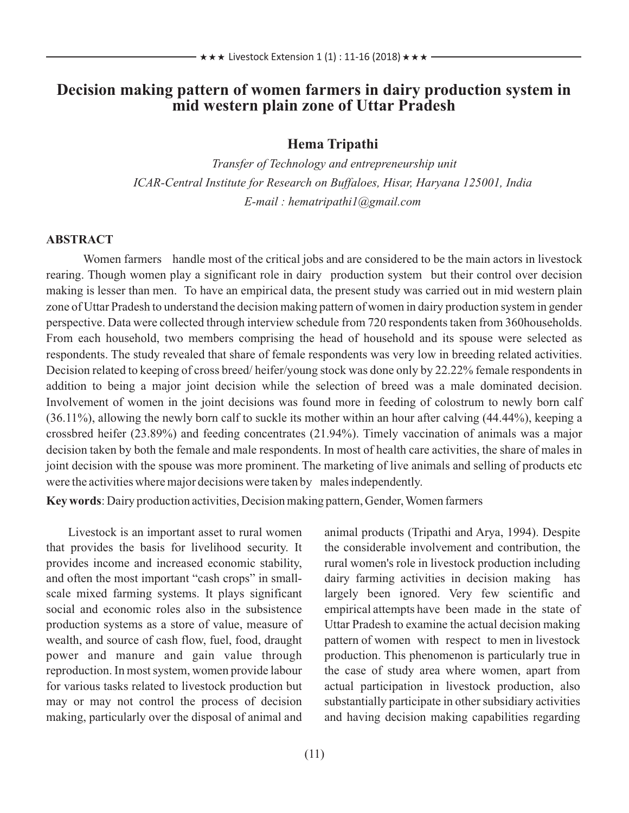### **Decision making pattern of women farmers in dairy production system in mid western plain zone of Uttar Pradesh**

#### **Hema Tripathi**

*Transfer of Technology and entrepreneurship unit ICAR-Central Institute for Research on Buffaloes, Hisar, Haryana 125001, India E-mail : hematripathi1@gmail.com*

#### **ABSTRACT**

Women farmers handle most of the critical jobs and are considered to be the main actors in livestock rearing. Though women play a significant role in dairy production system but their control over decision making is lesser than men. To have an empirical data, the present study was carried out in mid western plain zone of Uttar Pradesh to understand the decision making pattern of women in dairy production system in gender perspective. Data were collected through interview schedule from 720 respondents taken from 360households. From each household, two members comprising the head of household and its spouse were selected as respondents. The study revealed that share of female respondents was very low in breeding related activities. Decision related to keeping of cross breed/ heifer/young stock was done only by 22.22% female respondents in addition to being a major joint decision while the selection of breed was a male dominated decision. Involvement of women in the joint decisions was found more in feeding of colostrum to newly born calf (36.11%), allowing the newly born calf to suckle its mother within an hour after calving (44.44%), keeping a crossbred heifer (23.89%) and feeding concentrates (21.94%). Timely vaccination of animals was a major decision taken by both the female and male respondents. In most of health care activities, the share of males in joint decision with the spouse was more prominent. The marketing of live animals and selling of products etc were the activities where major decisions were taken by males independently.

**Key words**: Dairy production activities, Decision making pattern, Gender, Women farmers

Livestock is an important asset to rural women that provides the basis for livelihood security. It provides income and increased economic stability, and often the most important "cash crops" in smallscale mixed farming systems. It plays significant social and economic roles also in the subsistence production systems as a store of value, measure of wealth, and source of cash flow, fuel, food, draught power and manure and gain value through reproduction. In most system, women provide labour for various tasks related to livestock production but may or may not control the process of decision making, particularly over the disposal of animal and animal products (Tripathi and Arya, 1994). Despite the considerable involvement and contribution, the rural women's role in livestock production including dairy farming activities in decision making has largely been ignored. Very few scientific and empirical attempts have been made in the state of Uttar Pradesh to examine the actual decision making pattern of women with respect to men in livestock production. This phenomenon is particularly true in the case of study area where women, apart from actual participation in livestock production, also substantially participate in other subsidiary activities and having decision making capabilities regarding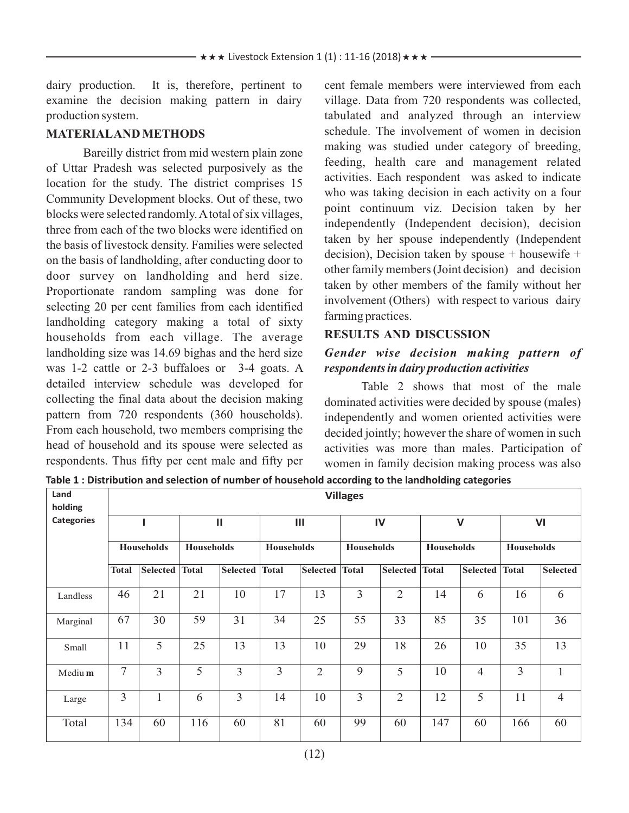dairy production. It is, therefore, pertinent to examine the decision making pattern in dairy production system.

#### **MATERIALAND METHODS**

Bareilly district from mid western plain zone of Uttar Pradesh was selected purposively as the location for the study. The district comprises 15 Community Development blocks. Out of these, two blocks were selected randomly. Atotal of six villages, three from each of the two blocks were identified on the basis of livestock density. Families were selected on the basis of landholding, after conducting door to door survey on landholding and herd size. Proportionate random sampling was done for selecting 20 per cent families from each identified landholding category making a total of sixty households from each village. The average landholding size was 14.69 bighas and the herd size was 1-2 cattle or 2-3 buffaloes or 3-4 goats. A detailed interview schedule was developed for collecting the final data about the decision making pattern from 720 respondents (360 households). From each household, two members comprising the head of household and its spouse were selected as respondents. Thus fifty per cent male and fifty per

cent female members were interviewed from each village. Data from 720 respondents was collected, tabulated and analyzed through an interview schedule. The involvement of women in decision making was studied under category of breeding, feeding, health care and management related activities. Each respondent was asked to indicate who was taking decision in each activity on a four point continuum viz. Decision taken by her independently (Independent decision), decision taken by her spouse independently (Independent decision), Decision taken by spouse + housewife + other family members (Joint decision) and decision taken by other members of the family without her involvement (Others) with respect to various dairy farming practices.

#### **RESULTS AND DISCUSSION**

#### *Gender wise decision making pattern of respondents in dairy production activities*

Table 2 shows that most of the male dominated activities were decided by spouse (males) independently and women oriented activities were decided jointly; however the share of women in such activities was more than males. Participation of women in family decision making process was also

**Table 1 : Distribution and selection of number of household according to the landholding categories**

| Land<br>holding   | <b>Villages</b>   |                 |                   |          |                   |                 |                   |                 |                   |                |                   |                 |
|-------------------|-------------------|-----------------|-------------------|----------|-------------------|-----------------|-------------------|-----------------|-------------------|----------------|-------------------|-----------------|
| <b>Categories</b> |                   |                 | $\mathbf{II}$     |          | $\mathbf{III}$    |                 | IV                |                 | $\mathsf{V}$      |                | VI                |                 |
|                   | <b>Households</b> |                 | <b>Households</b> |          | <b>Households</b> |                 | <b>Households</b> |                 | <b>Households</b> |                | <b>Households</b> |                 |
|                   | <b>Total</b>      | <b>Selected</b> | <b>Total</b>      | Selected | <b>Total</b>      | <b>Selected</b> | <b>Total</b>      | <b>Selected</b> | <b>Total</b>      | Selected       | <b>Total</b>      | <b>Selected</b> |
| Landless          | 46                | 21              | 21                | 10       | 17                | 13              | 3                 | $\overline{2}$  | 14                | 6              | 16                | 6               |
| Marginal          | 67                | 30              | 59                | 31       | 34                | 25              | 55                | 33              | 85                | 35             | 101               | 36              |
| Small             | 11                | 5               | 25                | 13       | 13                | 10              | 29                | 18              | 26                | 10             | 35                | 13              |
| Mediu m           | 7                 | $\overline{3}$  | 5                 | 3        | 3                 | $\overline{2}$  | 9                 | 5               | 10                | $\overline{4}$ | 3                 | $\mathbf{1}$    |
| Large             | 3                 | 1               | 6                 | 3        | 14                | 10              | 3                 | $\overline{2}$  | 12                | 5              | 11                | $\overline{4}$  |
| Total             | 134               | 60              | 116               | 60       | 81                | 60              | 99                | 60              | 147               | 60             | 166               | 60              |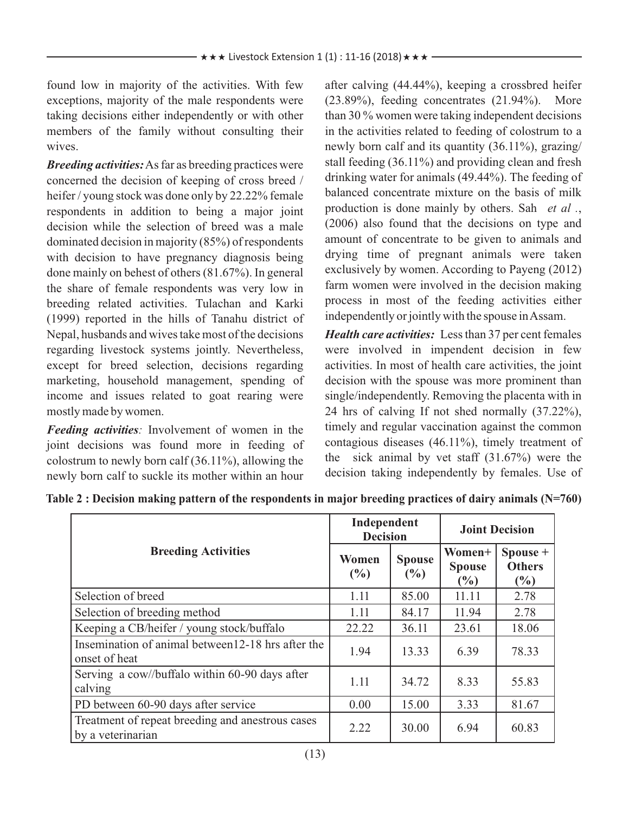found low in majority of the activities. With few exceptions, majority of the male respondents were taking decisions either independently or with other members of the family without consulting their wives.

*Breeding activities:*As far as breeding practices were concerned the decision of keeping of cross breed / heifer / young stock was done only by 22.22% female respondents in addition to being a major joint decision while the selection of breed was a male dominated decision in majority (85%) of respondents with decision to have pregnancy diagnosis being done mainly on behest of others (81.67%). In general the share of female respondents was very low in breeding related activities. Tulachan and Karki (1999) reported in the hills of Tanahu district of Nepal, husbands and wives take most of the decisions regarding livestock systems jointly. Nevertheless, except for breed selection, decisions regarding marketing, household management, spending of income and issues related to goat rearing were mostly made by women.

*Feeding activities:* Involvement of women in the joint decisions was found more in feeding of colostrum to newly born calf  $(36.11\%)$ , allowing the newly born calf to suckle its mother within an hour after calving (44.44%), keeping a crossbred heifer (23.89%), feeding concentrates (21.94%). More than 30 % women were taking independent decisions in the activities related to feeding of colostrum to a newly born calf and its quantity (36.11%), grazing/ stall feeding (36.11%) and providing clean and fresh drinking water for animals (49.44%). The feeding of balanced concentrate mixture on the basis of milk production is done mainly by others. Sah *et al .*, (2006) also found that the decisions on type and amount of concentrate to be given to animals and drying time of pregnant animals were taken exclusively by women. According to Payeng (2012) farm women were involved in the decision making process in most of the feeding activities either independently or jointly with the spouse in Assam.

*Health care activities:* Less than 37 per cent females were involved in impendent decision in few activities. In most of health care activities, the joint decision with the spouse was more prominent than single/independently. Removing the placenta with in 24 hrs of calving If not shed normally (37.22%), timely and regular vaccination against the common contagious diseases (46.11%), timely treatment of the sick animal by vet staff (31.67%) were the decision taking independently by females. Use of

|                                                                       | Independent<br><b>Decision</b> |                                | <b>Joint Decision</b>             |                                  |  |
|-----------------------------------------------------------------------|--------------------------------|--------------------------------|-----------------------------------|----------------------------------|--|
| <b>Breeding Activities</b>                                            | Women<br>$\frac{0}{0}$         | <b>Spouse</b><br>$\frac{6}{2}$ | Women+<br><b>Spouse</b><br>$(\%)$ | Spouse +<br><b>Others</b><br>(%) |  |
| Selection of breed                                                    | 1.11                           | 85.00                          | 11.11                             | 2.78                             |  |
| Selection of breeding method                                          | 1.11                           | 84.17                          | 11.94                             | 2.78                             |  |
| Keeping a CB/heifer / young stock/buffalo                             | 22.22                          | 36.11                          | 23.61                             | 18.06                            |  |
| Insemination of animal between 12-18 hrs after the<br>onset of heat   | 1.94                           | 13.33                          | 6.39                              | 78.33                            |  |
| Serving a cow//buffalo within 60-90 days after<br>calving             | 1.11                           | 34.72                          | 8.33                              | 55.83                            |  |
| PD between 60-90 days after service                                   | 0.00                           | 15.00                          | 3.33                              | 81.67                            |  |
| Treatment of repeat breeding and anestrous cases<br>by a veterinarian | 2.22                           | 30.00                          | 6.94                              | 60.83                            |  |

**Table 2 : Decision making pattern of the respondents in major breeding practices of dairy animals (N=760)**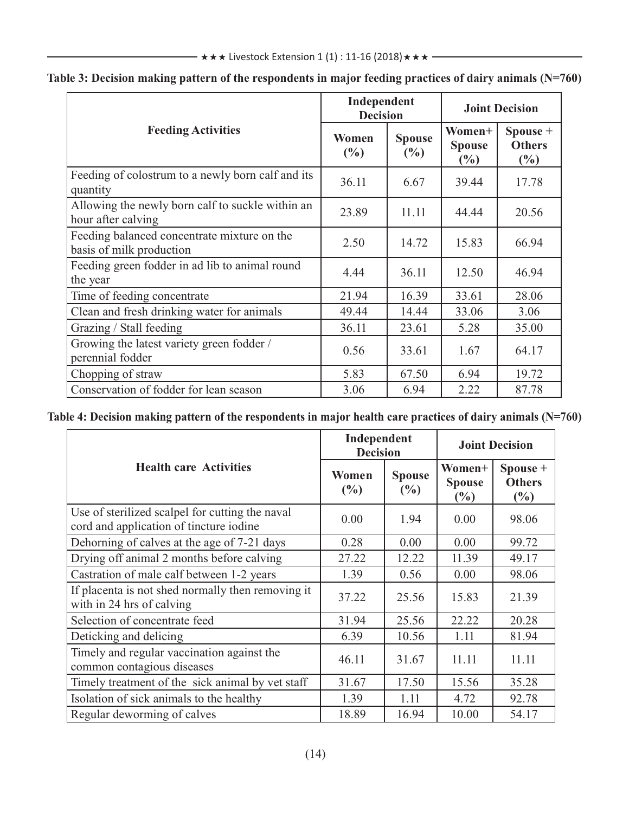|                                                                         | Independent<br><b>Decision</b> |                         | <b>Joint Decision</b>             |                                     |  |
|-------------------------------------------------------------------------|--------------------------------|-------------------------|-----------------------------------|-------------------------------------|--|
| <b>Feeding Activities</b>                                               | Women<br>(%)                   | <b>Spouse</b><br>$(\%)$ | Women+<br><b>Spouse</b><br>$(\%)$ | Spouse +<br><b>Others</b><br>$(\%)$ |  |
| Feeding of colostrum to a newly born calf and its<br>quantity           | 36.11                          | 6.67                    | 39.44                             | 17.78                               |  |
| Allowing the newly born calf to suckle within an<br>hour after calving  | 23.89                          | 11.11                   | 44.44                             | 20.56                               |  |
| Feeding balanced concentrate mixture on the<br>basis of milk production | 2.50                           | 14.72                   | 15.83                             | 66.94                               |  |
| Feeding green fodder in ad lib to animal round<br>the year              | 4.44                           | 36.11                   | 12.50                             | 46.94                               |  |
| Time of feeding concentrate                                             | 21.94                          | 16.39                   | 33.61                             | 28.06                               |  |
| Clean and fresh drinking water for animals                              | 49.44                          | 14.44                   | 33.06                             | 3.06                                |  |
| Grazing / Stall feeding                                                 | 36.11                          | 23.61                   | 5.28                              | 35.00                               |  |
| Growing the latest variety green fodder /<br>perennial fodder           | 0.56                           | 33.61                   | 1.67                              | 64.17                               |  |
| Chopping of straw                                                       | 5.83                           | 67.50                   | 6.94                              | 19.72                               |  |
| Conservation of fodder for lean season                                  | 3.06                           | 6.94                    | 2.22                              | 87.78                               |  |

#### **Table 3: Decision making pattern of the respondents in major feeding practices of dairy animals (N=760)**

Table 4: Decision making pattern of the respondents in major health care practices of dairy animals (N=760)

|                                                                                            | Independent<br><b>Decision</b> |                                | <b>Joint Decision</b>          |                                     |  |
|--------------------------------------------------------------------------------------------|--------------------------------|--------------------------------|--------------------------------|-------------------------------------|--|
| <b>Health care Activities</b>                                                              | Women<br>(%)                   | <b>Spouse</b><br>$\frac{6}{2}$ | Women+<br><b>Spouse</b><br>(%) | Spouse +<br><b>Others</b><br>$(\%)$ |  |
| Use of sterilized scalpel for cutting the naval<br>cord and application of tincture iodine | 0.00                           | 1.94                           | 0.00                           | 98.06                               |  |
| Dehorning of calves at the age of 7-21 days                                                | 0.28                           | 0.00                           | 0.00                           | 99.72                               |  |
| Drying off animal 2 months before calving                                                  | 27.22                          | 12.22                          | 11.39                          | 49.17                               |  |
| Castration of male calf between 1-2 years                                                  | 1.39                           | 0.56                           | 0.00                           | 98.06                               |  |
| If placenta is not shed normally then removing it<br>with in 24 hrs of calving             | 37.22                          | 25.56                          | 15.83                          | 21.39                               |  |
| Selection of concentrate feed                                                              | 31.94                          | 25.56                          | 22.22                          | 20.28                               |  |
| Deticking and delicing                                                                     | 6.39                           | 10.56                          | 1.11                           | 81.94                               |  |
| Timely and regular vaccination against the<br>common contagious diseases                   | 46.11                          | 31.67                          | 11.11                          | 11.11                               |  |
| Timely treatment of the sick animal by vet staff                                           | 31.67                          | 17.50                          | 15.56                          | 35.28                               |  |
| Isolation of sick animals to the healthy                                                   | 1.39                           | 1.11                           | 4.72                           | 92.78                               |  |
| Regular deworming of calves                                                                | 18.89                          | 16.94                          | 10.00                          | 54.17                               |  |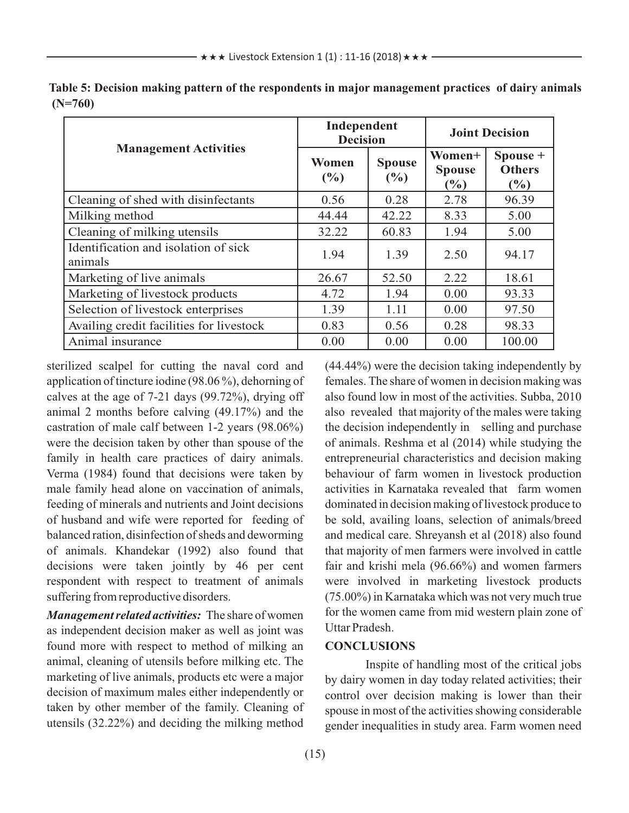|                                                 | Independent<br><b>Decision</b> |                                | <b>Joint Decision</b>             |                                  |  |
|-------------------------------------------------|--------------------------------|--------------------------------|-----------------------------------|----------------------------------|--|
| <b>Management Activities</b>                    | Women<br>$\frac{0}{0}$         | <b>Spouse</b><br>$\frac{0}{0}$ | Women+<br><b>Spouse</b><br>$(\%)$ | Spouse +<br><b>Others</b><br>(%) |  |
| Cleaning of shed with disinfectants             | 0.56                           | 0.28                           | 2.78                              | 96.39                            |  |
| Milking method                                  | 44.44                          | 42.22                          | 8.33                              | 5.00                             |  |
| Cleaning of milking utensils                    | 32.22                          | 60.83                          | 1.94                              | 5.00                             |  |
| Identification and isolation of sick<br>animals | 1.94                           | 1.39                           | 2.50                              | 94.17                            |  |
| Marketing of live animals                       | 26.67                          | 52.50                          | 2.22                              | 18.61                            |  |
| Marketing of livestock products                 | 4.72                           | 1.94                           | 0.00                              | 93.33                            |  |
| Selection of livestock enterprises              | 1.39                           | 1.11                           | 0.00                              | 97.50                            |  |
| Availing credit facilities for livestock        | 0.83                           | 0.56                           | 0.28                              | 98.33                            |  |
| Animal insurance                                | 0.00                           | 0.00                           | 0.00                              | 100.00                           |  |

**Table 5: Decision making pattern of the respondents in major management practices of dairy animals (N=760)**

sterilized scalpel for cutting the naval cord and application of tincture iodine (98.06 %), dehorning of calves at the age of 7-21 days (99.72%), drying off animal 2 months before calving (49.17%) and the castration of male calf between 1-2 years (98.06%) were the decision taken by other than spouse of the family in health care practices of dairy animals. Verma (1984) found that decisions were taken by male family head alone on vaccination of animals, feeding of minerals and nutrients and Joint decisions of husband and wife were reported for feeding of balanced ration, disinfection of sheds and deworming of animals. Khandekar (1992) also found that decisions were taken jointly by 46 per cent respondent with respect to treatment of animals suffering from reproductive disorders.

*Management related activities:* The share of women as independent decision maker as well as joint was found more with respect to method of milking an animal, cleaning of utensils before milking etc. The marketing of live animals, products etc were a major decision of maximum males either independently or taken by other member of the family. Cleaning of utensils (32.22%) and deciding the milking method (44.44%) were the decision taking independently by females. The share of women in decision making was also found low in most of the activities. Subba, 2010 also revealed that majority of the males were taking the decision independently in selling and purchase of animals. Reshma et al (2014) while studying the entrepreneurial characteristics and decision making behaviour of farm women in livestock production activities in Karnataka revealed that farm women dominated in decision making of livestock produce to be sold, availing loans, selection of animals/breed and medical care. Shreyansh et al (2018) also found that majority of men farmers were involved in cattle fair and krishi mela (96.66%) and women farmers were involved in marketing livestock products (75.00%) in Karnataka which was not very much true for the women came from mid western plain zone of Uttar Pradesh.

#### **CONCLUSIONS**

Inspite of handling most of the critical jobs by dairy women in day today related activities; their control over decision making is lower than their spouse in most of the activities showing considerable gender inequalities in study area. Farm women need